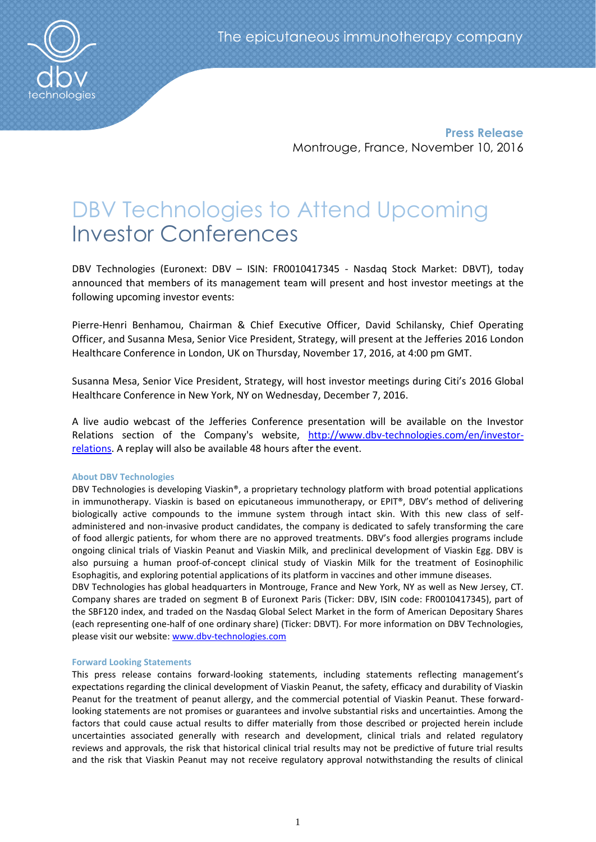

**Press Release** Montrouge, France, November 10, 2016

# DBV Technologies to Attend Upcoming Investor Conferences

DBV Technologies (Euronext: DBV – ISIN: FR0010417345 - Nasdaq Stock Market: DBVT), today announced that members of its management team will present and host investor meetings at the following upcoming investor events:

Pierre-Henri Benhamou, Chairman & Chief Executive Officer, David Schilansky, Chief Operating Officer, and Susanna Mesa, Senior Vice President, Strategy, will present at the Jefferies 2016 London Healthcare Conference in London, UK on Thursday, November 17, 2016, at 4:00 pm GMT.

Susanna Mesa, Senior Vice President, Strategy, will host investor meetings during Citi's 2016 Global Healthcare Conference in New York, NY on Wednesday, December 7, 2016.

A live audio webcast of the Jefferies Conference presentation will be available on the Investor Relations section of the Company's website, [http://www.dbv-technologies.com/en/investor](http://www.dbv-technologies.com/en/investor-relations)[relations.](http://www.dbv-technologies.com/en/investor-relations) A replay will also be available 48 hours after the event.

# **About DBV Technologies**

DBV Technologies is developing Viaskin®, a proprietary technology platform with broad potential applications in immunotherapy. Viaskin is based on epicutaneous immunotherapy, or EPIT®, DBV's method of delivering biologically active compounds to the immune system through intact skin. With this new class of selfadministered and non-invasive product candidates, the company is dedicated to safely transforming the care of food allergic patients, for whom there are no approved treatments. DBV's food allergies programs include ongoing clinical trials of Viaskin Peanut and Viaskin Milk, and preclinical development of Viaskin Egg. DBV is also pursuing a human proof-of-concept clinical study of Viaskin Milk for the treatment of Eosinophilic Esophagitis, and exploring potential applications of its platform in vaccines and other immune diseases.

DBV Technologies has global headquarters in Montrouge, France and New York, NY as well as New Jersey, CT. Company shares are traded on segment B of Euronext Paris (Ticker: DBV, ISIN code: FR0010417345), part of the SBF120 index, and traded on the Nasdaq Global Select Market in the form of American Depositary Shares (each representing one-half of one ordinary share) (Ticker: DBVT). For more information on DBV Technologies, please visit our website: [www.dbv-technologies.com](http://www.dbv-technologies.com/)

# **Forward Looking Statements**

This press release contains forward-looking statements, including statements reflecting management's expectations regarding the clinical development of Viaskin Peanut, the safety, efficacy and durability of Viaskin Peanut for the treatment of peanut allergy, and the commercial potential of Viaskin Peanut. These forwardlooking statements are not promises or guarantees and involve substantial risks and uncertainties. Among the factors that could cause actual results to differ materially from those described or projected herein include uncertainties associated generally with research and development, clinical trials and related regulatory reviews and approvals, the risk that historical clinical trial results may not be predictive of future trial results and the risk that Viaskin Peanut may not receive regulatory approval notwithstanding the results of clinical